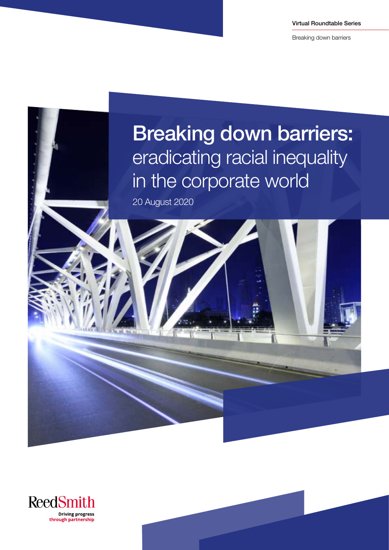Virtual Roundtable Series f

Breaking down barriers



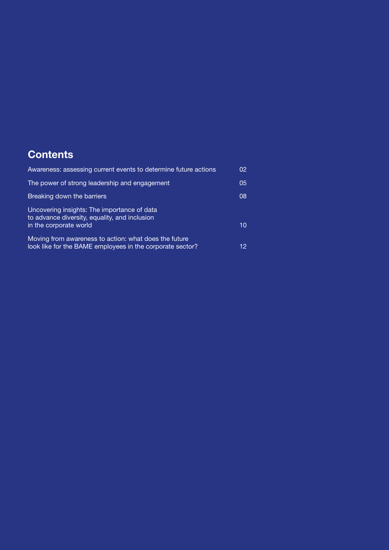### **Contents**

| Awareness: assessing current events to determine future actions                                                        | 0 <sup>2</sup> |
|------------------------------------------------------------------------------------------------------------------------|----------------|
| The power of strong leadership and engagement                                                                          | 05             |
| Breaking down the barriers                                                                                             | 08             |
| Uncovering insights: The importance of data<br>to advance diversity, equality, and inclusion<br>in the corporate world | 10             |
| Moving from awareness to action: what does the future<br>look like for the BAME employees in the corporate sector?     | 12             |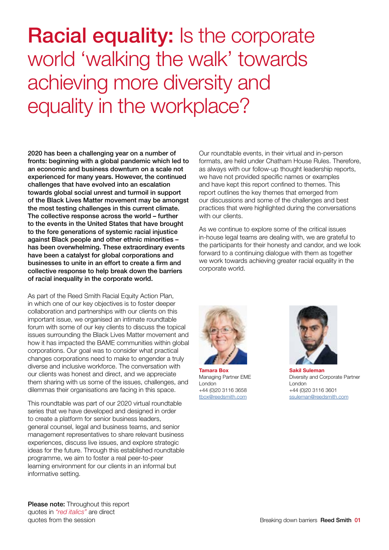# Racial equality: Is the corporate world 'walking the walk' towards achieving more diversity and equality in the workplace?

2020 has been a challenging year on a number of fronts: beginning with a global pandemic which led to an economic and business downturn on a scale not experienced for many years. However, the continued challenges that have evolved into an escalation towards global social unrest and turmoil in support of the Black Lives Matter movement may be amongst the most testing challenges in this current climate. The collective response across the world – further to the events in the United States that have brought to the fore generations of systemic racial injustice against Black people and other ethnic minorities – has been overwhelming. These extraordinary events have been a catalyst for global corporations and businesses to unite in an effort to create a firm and collective response to help break down the barriers of racial inequality in the corporate world.

As part of the Reed Smith Racial Equity Action Plan, in which one of our key objectives is to foster deeper collaboration and partnerships with our clients on this important issue, we organised an intimate roundtable forum with some of our key clients to discuss the topical issues surrounding the Black Lives Matter movement and how it has impacted the BAME communities within global corporations. Our goal was to consider what practical changes corporations need to make to engender a truly diverse and inclusive workforce. The conversation with our clients was honest and direct, and we appreciate them sharing with us some of the issues, challenges, and dilemmas their organisations are facing in this space.

This roundtable was part of our 2020 virtual roundtable series that we have developed and designed in order to create a platform for senior business leaders, general counsel, legal and business teams, and senior management representatives to share relevant business experiences, discuss live issues, and explore strategic ideas for the future. Through this established roundtable programme, we aim to foster a real peer-to-peer learning environment for our clients in an informal but informative setting.

Our roundtable events, in their virtual and in-person formats, are held under Chatham House Rules. Therefore, as always with our follow-up thought leadership reports, we have not provided specific names or examples and have kept this report confined to themes. This report outlines the key themes that emerged from our discussions and some of the challenges and best practices that were highlighted during the conversations with our clients.

As we continue to explore some of the critical issues in-house legal teams are dealing with, we are grateful to the participants for their honesty and candor, and we look forward to a continuing dialogue with them as together we work towards achieving greater racial equality in the corporate world.



Tamara Box Managing Partner EME London +44 (0)20 3116 3658 [tbox@reedsmith.com](mailto:tbox%40reedsmith.com?subject=)



Sakil Suleman Diversity and Corporate Partner London +44 (0)20 3116 3601 [ssuleman@reedsmith.com](mailto:ssuleman%40reedsmith.com?subject=)

Please note: Throughout this report quotes in *"red italics"* are direct quotes from the session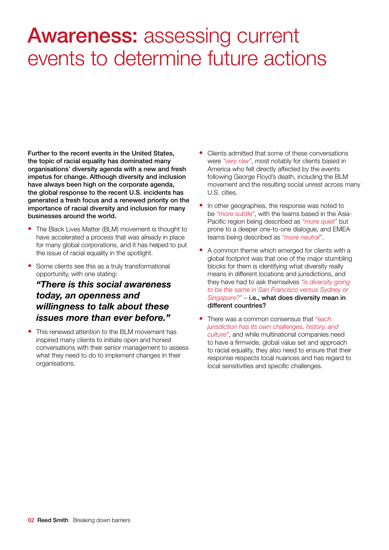# Awareness: assessing current events to determine future actions

Further to the recent events in the United States, the topic of racial equality has dominated many organisations' diversity agenda with a new and fresh impetus for change. Although diversity and inclusion have always been high on the corporate agenda, the global response to the recent U.S. incidents has generated a fresh focus and a renewed priority on the importance of racial diversity and inclusion for many businesses around the world.

- The Black Lives Matter (BLM) movement is thought to have accelerated a process that was already in place for many global corporations, and it has helped to put the issue of racial equality in the spotlight.
- Some clients see this as a truly transformational opportunity, with one stating:

### *"There is this social awareness today, an openness and willingness to talk about these issues more than ever before."*

This renewed attention to the BLM movement has inspired many clients to initiate open and honest conversations with their senior management to assess what they need to do to implement changes in their organisations.

- Clients admitted that some of these conversations were *"very raw"*, most notably for clients based in America who felt directly affected by the events following George Floyd's death, including the BLM movement and the resulting social unrest across many U.S. cities.
- In other geographies, the response was noted to be *"more subtle"*, with the teams based in the Asia-Pacific region being described as *"more quiet"* but prone to a deeper one-to-one dialogue, and EMEA teams being described as *"more neutral"*.
- A common theme which emerged for clients with a global footprint was that one of the major stumbling blocks for them is identifying what diversity really means in different locations and jurisdictions, and they have had to ask themselves *"is diversity going to be the same in San Francisco versus Sydney or Singapore?"* – i.e., what does diversity mean in different countries?
- There was a common consensus that *"each jurisdiction has its own challenges, history, and culture"*, and while multinational companies need to have a firmwide, global value set and approach to racial equality, they also need to ensure that their response respects local nuances and has regard to local sensitivities and specific challenges.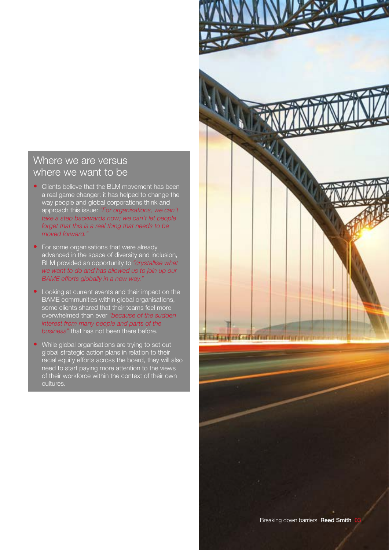## Where we are versus where we want to be

- Clients believe that the BLM movement has been a real game changer: it has helped to change the way people and global corporations think and approach this issue: *"For organisations, we can't take a step backwards now; we can't let people forget that this is a real thing that needs to be moved forward."*
- For some organisations that were already advanced in the space of diversity and inclusion, BLM provided an opportunity to *"crystallise what we want to do and has allowed us to join up our BAME efforts globally in a new way."*
- Looking at current events and their impact on the BAME communities within global organisations, some clients shared that their teams feel more overwhelmed than ever *"because of the sudden interest from many people and parts of the business"* that has not been there before.
- While global organisations are trying to set out global strategic action plans in relation to their racial equity efforts across the board, they will also need to start paying more attention to the views of their workforce within the context of their own cultures.

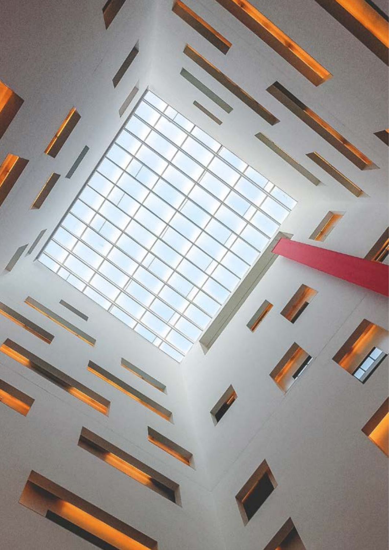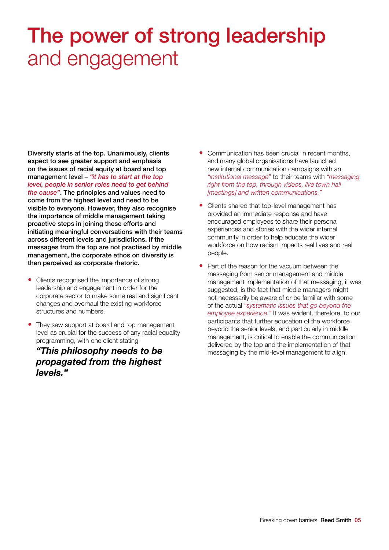# <span id="page-6-0"></span>The power of strong leadership and engagement

Diversity starts at the top. Unanimously, clients expect to see greater support and emphasis on the issues of racial equity at board and top management level – *"it has to start at the top level, people in senior roles need to get behind the cause"*. The principles and values need to come from the highest level and need to be visible to everyone. However, they also recognise the importance of middle management taking proactive steps in joining these efforts and initiating meaningful conversations with their teams across different levels and jurisdictions. If the messages from the top are not practised by middle management, the corporate ethos on diversity is then perceived as corporate rhetoric.

- Clients recognised the importance of strong leadership and engagement in order for the corporate sector to make some real and significant changes and overhaul the existing workforce structures and numbers.
- They saw support at board and top management level as crucial for the success of any racial equality programming, with one client stating

*"This philosophy needs to be propagated from the highest levels."* 

- Communication has been crucial in recent months, and many global organisations have launched new internal communication campaigns with an *"institutional message"* to their teams with *"messaging right from the top, through videos, live town hall [meetings] and written communications."*
- Clients shared that top-level management has provided an immediate response and have encouraged employees to share their personal experiences and stories with the wider internal community in order to help educate the wider workforce on how racism impacts real lives and real people.
- Part of the reason for the vacuum between the messaging from senior management and middle management implementation of that messaging, it was suggested, is the fact that middle managers might not necessarily be aware of or be familiar with some of the actual *"systematic issues that go beyond the employee experience."* It was evident, therefore, to our participants that further education of the workforce beyond the senior levels, and particularly in middle management, is critical to enable the communication delivered by the top and the implementation of that messaging by the mid-level management to align.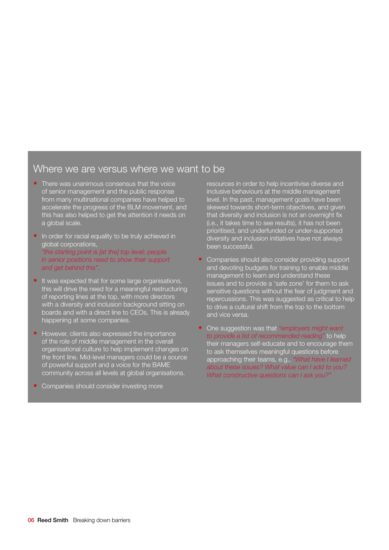### Where we are versus where we want to be

- There was unanimous consensus that the voice of senior management and the public response from many multinational companies have helped to accelerate the progress of the BLM movement, and this has also helped to get the attention it needs on a global scale.
- In order for racial equality to be truly achieved in global corporations, *"the starting point is [at the] top level; people in senior positions need to show their support and get behind this".*
- It was expected that for some large organisations, this will drive the need for a meaningful restructuring of reporting lines at the top, with more directors with a diversity and inclusion background sitting on boards and with a direct line to CEOs. This is already happening at some companies.
- However, clients also expressed the importance of the role of middle management in the overall organisational culture to help implement changes on the front line. Mid-level managers could be a source of powerful support and a voice for the BAME community across all levels at global organisations.
- Companies should consider investing more

resources in order to help incentivise diverse and inclusive behaviours at the middle management level. In the past, management goals have been skewed towards short-term objectives, and given that diversity and inclusion is not an overnight fix (i.e., it takes time to see results), it has not been prioritised, and underfunded or under-supported diversity and inclusion initiatives have not always been successful.

- Companies should also consider providing support and devoting budgets for training to enable middle management to learn and understand these issues and to provide a 'safe zone' for them to ask sensitive questions without the fear of judgment and repercussions. This was suggested as critical to help to drive a cultural shift from the top to the bottom and vice versa.
- One suggestion was that *"employers might want to provide a list of recommended reading"* to help their managers self-educate and to encourage them to ask themselves meaningful questions before approaching their teams, e.g., *"What have I learned about these issues? What value can I add to you? What constructive questions can I ask you?"*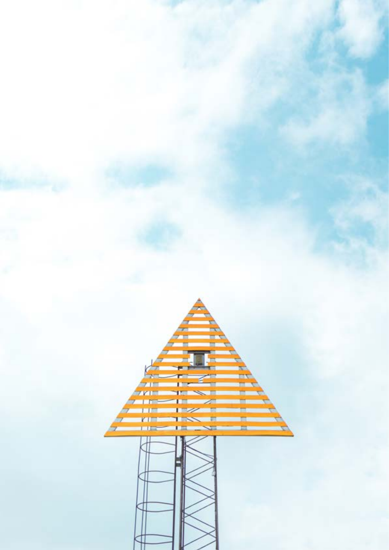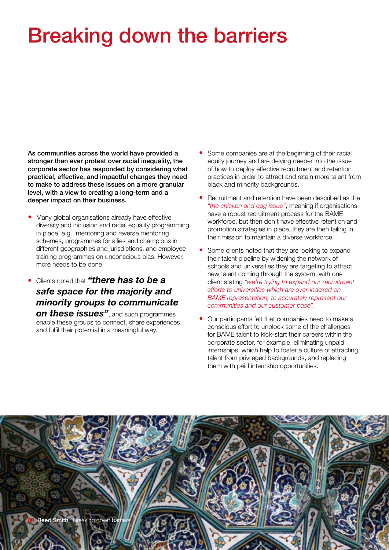# <span id="page-9-0"></span>Breaking down the barriers

As communities across the world have provided a stronger than ever protest over racial inequality, the corporate sector has responded by considering what practical, effective, and impactful changes they need to make to address these issues on a more granular level, with a view to creating a long-term and a deeper impact on their business.

- Many global organisations already have effective diversity and inclusion and racial equality programming in place, e.g., mentoring and reverse mentoring schemes, programmes for allies and champions in different geographies and jurisdictions, and employee training programmes on unconscious bias. However, more needs to be done.
- Clients noted that *"there has to be a safe space for the majority and minority groups to communicate on these issues*, and such programmes enable these groups to connect, share experiences,

and fulfil their potential in a meaningful way.

Some companies are at the beginning of their racial equity journey and are delving deeper into the issue of how to deploy effective recruitment and retention practices in order to attract and retain more talent from black and minority backgrounds.

- Recruitment and retention have been described as the *"the chicken and egg issue"*, meaning if organisations have a robust recruitment process for the BAME workforce, but then don't have effective retention and promotion strategies in place, they are then failing in their mission to maintain a diverse workforce.
- Some clients noted that they are looking to expand their talent pipeline by widening the network of schools and universities they are targeting to attract new talent coming through the system, with one client stating *"we're trying to expand our recruitment efforts to universities which are over-indexed on BAME representation, to accurately represent our communities and our customer base"*.
- Our participants felt that companies need to make a conscious effort to unblock some of the challenges for BAME talent to kick-start their careers within the corporate sector, for example, eliminating unpaid internships, which help to foster a culture of attracting talent from privileged backgrounds, and replacing them with paid internship opportunities.

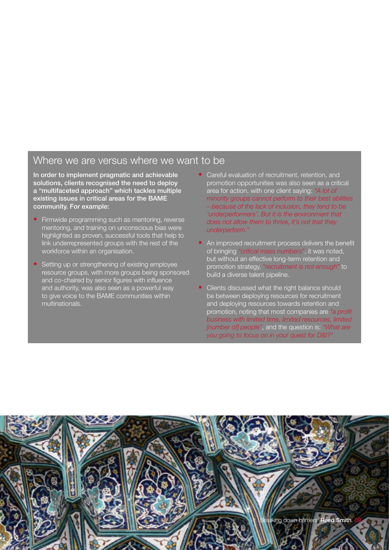### Where we are versus where we want to be

In order to implement pragmatic and achievable solutions, clients recognised the need to deploy a "multifaceted approach" which tackles multiple existing issues in critical areas for the BAME community. For example:

- Firmwide programming such as mentoring, reverse mentoring, and training on unconscious bias were highlighted as proven, successful tools that help to link underrepresented groups with the rest of the workforce within an organisation.
- Setting up or strengthening of existing employee resource groups, with more groups being sponsored and co-chaired by senior figures with influence and authority, was also seen as a powerful way to give voice to the BAME communities within multinationals.
- Careful evaluation of recruitment, retention, and promotion opportunities was also seen as a critical area for action, with one client saying: *"A lot of minority groups cannot perform to their best abilities – because of the lack of inclusion, they tend to be 'underperformers'. But it is the environment that does not allow them to thrive, it's not that they underperform."*
- An improved recruitment process delivers the benefit of bringing *"critical mass numbers"*, it was noted, but without an effective long-term retention and promotion strategy, *"recruitment is not enough"* to build a diverse talent pipeline.
- Clients discussed what the right balance should be between deploying resources for recruitment and deploying resources towards retention and promotion, noting that most companies are *"a profit business with limited time, limited resources, limited [number of] people"*, and the question is: *"What are you going to focus on in your quest for D&I?"*

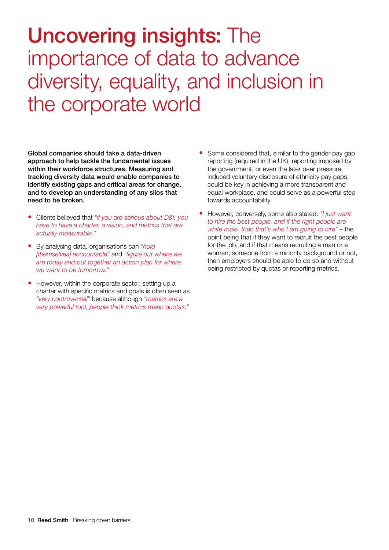# <span id="page-11-0"></span>Uncovering insights: The importance of data to advance diversity, equality, and inclusion in the corporate world

Global companies should take a data-driven approach to help tackle the fundamental issues within their workforce structures. Measuring and tracking diversity data would enable companies to identify existing gaps and critical areas for change, and to develop an understanding of any silos that need to be broken.

- Clients believed that *"if you are serious about D&I, you have to have a charter, a vision, and metrics that are actually measurable."*
- By analysing data, organisations can *"hold [themselves] accountable"* and *"figure out where we are today and put together an action plan for where we want to be tomorrow."*
- However, within the corporate sector, setting up a charter with specific metrics and goals is often seen as *"very controversial"* because although *"metrics are a very powerful tool, people think metrics mean quotas."*
- Some considered that, similar to the gender pay gap reporting (required in the UK), reporting imposed by the government, or even the later peer pressure, induced voluntary disclosure of ethnicity pay gaps, could be key in achieving a more transparent and equal workplace, and could serve as a powerful step towards accountability.
- However, conversely, some also stated: *"I just want to hire the best people, and if the right people are white male, then that's who I am going to hire"* – the point being that if they want to recruit the best people for the job, and if that means recruiting a man or a woman, someone from a minority background or not, then employers should be able to do so and without being restricted by quotas or reporting metrics.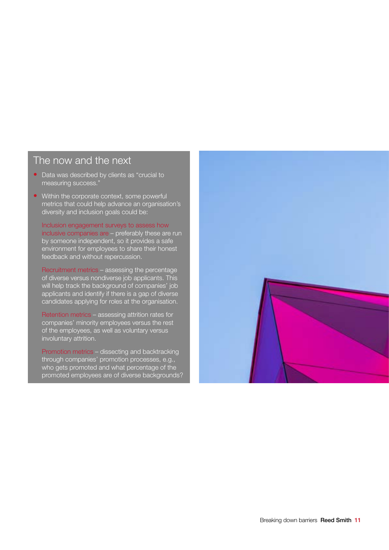### The now and the next

- Data was described by clients as "crucial to measuring success.'
- Within the corporate context, some powerful metrics that could help advance an organisation's diversity and inclusion goals could be:

Inclusion engagement surveys to assess how inclusive companies are – preferably these are run by someone independent, so it provides a safe environment for employees to share their honest feedback and without repercussion.

Recruitment metrics – assessing the percentage of diverse versus nondiverse job applicants. This will help track the background of companies' job applicants and identify if there is a gap of diverse candidates applying for roles at the organisation.

Retention metrics – assessing attrition rates for companies' minority employees versus the rest of the employees, as well as voluntary versus involuntary attrition.

Promotion metrics – dissecting and backtracking through companies' promotion processes, e.g., who gets promoted and what percentage of the promoted employees are of diverse backgrounds?

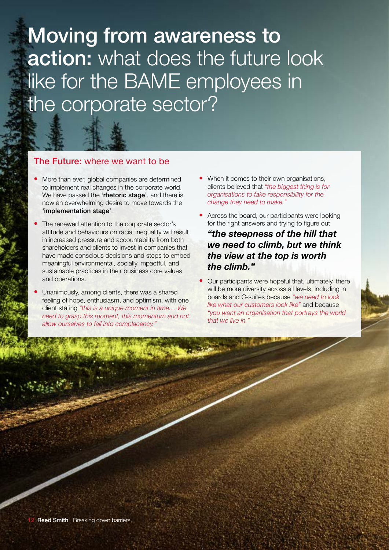# <span id="page-13-0"></span>Moving from awareness to action: what does the future look like for the BAME employees in the corporate sector?

#### The Future: where we want to be

- More than ever, global companies are determined to implement real changes in the corporate world. We have passed the 'rhetoric stage', and there is now an overwhelming desire to move towards the 'implementation stage'.
- The renewed attention to the corporate sector's attitude and behaviours on racial inequality will result in increased pressure and accountability from both shareholders and clients to invest in companies that have made conscious decisions and steps to embed meaningful environmental, socially impactful, and sustainable practices in their business core values and operations.
- Unanimously, among clients, there was a shared feeling of hope, enthusiasm, and optimism, with one client stating *"this is a unique moment in time… We need to grasp this moment, this momentum and not allow ourselves to fall into complacency."*
- When it comes to their own organisations, clients believed that *"the biggest thing is for organisations to take responsibility for the change they need to make."*
- Across the board, our participants were looking for the right answers and trying to figure out
- *"the steepness of the hill that we need to climb, but we think the view at the top is worth the climb."*
- Our participants were hopeful that, ultimately, there will be more diversity across all levels, including in boards and C-suites because *"we need to look like what our customers look like"* and because *"you want an organisation that portrays the world that we live in."*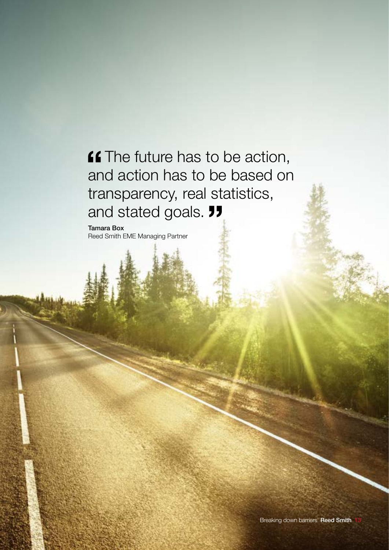**ff** The future has to be action, and action has to be based on transparency, real statistics, and stated goals. **JJ** 

Tamara Box Reed Smith EME Managing Partner